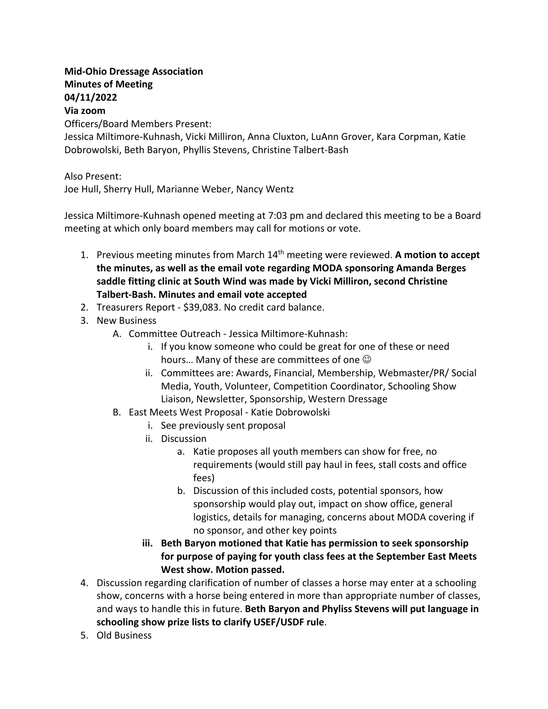## **Mid-Ohio Dressage Association Minutes of Meeting 04/11/2022**

## **Via zoom**

Officers/Board Members Present:

Jessica Miltimore-Kuhnash, Vicki Milliron, Anna Cluxton, LuAnn Grover, Kara Corpman, Katie Dobrowolski, Beth Baryon, Phyllis Stevens, Christine Talbert-Bash

## Also Present:

Joe Hull, Sherry Hull, Marianne Weber, Nancy Wentz

Jessica Miltimore-Kuhnash opened meeting at 7:03 pm and declared this meeting to be a Board meeting at which only board members may call for motions or vote.

- 1. Previous meeting minutes from March 14th meeting were reviewed. **A motion to accept the minutes, as well as the email vote regarding MODA sponsoring Amanda Berges saddle fitting clinic at South Wind was made by Vicki Milliron, second Christine Talbert-Bash. Minutes and email vote accepted**
- 2. Treasurers Report \$39,083. No credit card balance.
- 3. New Business
	- A. Committee Outreach Jessica Miltimore-Kuhnash:
		- i. If you know someone who could be great for one of these or need hours... Many of these are committees of one  $\odot$
		- ii. Committees are: Awards, Financial, Membership, Webmaster/PR/ Social Media, Youth, Volunteer, Competition Coordinator, Schooling Show Liaison, Newsletter, Sponsorship, Western Dressage
	- B. East Meets West Proposal Katie Dobrowolski
		- i. See previously sent proposal
		- ii. Discussion
			- a. Katie proposes all youth members can show for free, no requirements (would still pay haul in fees, stall costs and office fees)
			- b. Discussion of this included costs, potential sponsors, how sponsorship would play out, impact on show office, general logistics, details for managing, concerns about MODA covering if no sponsor, and other key points
		- **iii. Beth Baryon motioned that Katie has permission to seek sponsorship for purpose of paying for youth class fees at the September East Meets West show. Motion passed.**
- 4. Discussion regarding clarification of number of classes a horse may enter at a schooling show, concerns with a horse being entered in more than appropriate number of classes, and ways to handle this in future. **Beth Baryon and Phyliss Stevens will put language in schooling show prize lists to clarify USEF/USDF rule**.
- 5. Old Business